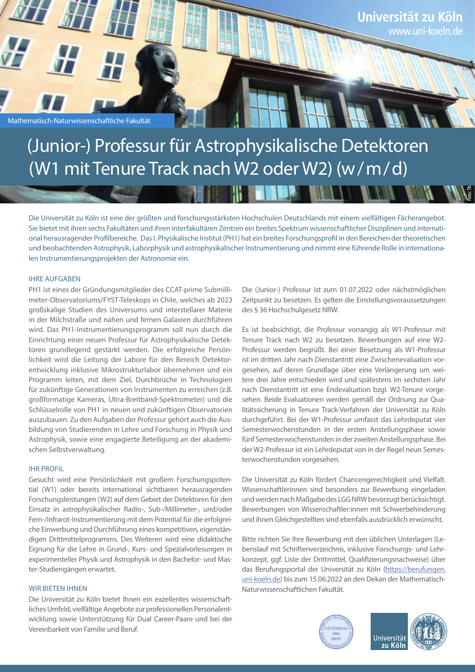

# (Junior-) Professur für Astrophysikalische Detektoren (W1 mit Tenure Track nach W2 oder W2) (w/m/d)

48 H.I

Die Universität zu Köln ist eine der größten und forschungsstärksten Hochschulen Deutschlands mit einem vielfältigen Fächerangebot. Sie bietet mit ihren sechs Fakultäten und ihren interfakultären Zentren ein breites Spektrum wissenschaftlicher Disziplinen und international herausragender Profilbereiche. Das I. Physikalische Institut (PH1) hat ein breites Forschungsprofil in den Bereichen der theoretischen und beobachtenden Astrophysik, Laborphysik und astrophysikalischer Instrumentierung und nimmt eine führende Rolle in internationalen Instrumentierungsprojekten der Astronomie ein.

## IHRE AUFGABEN

PH1 ist eines der Gründungsmitglieder des CCAT-prime Submillimeter-Observatoriums/FYST-Teleskops in Chile, welches ab 2023 großskalige Studien des Universums und interstellarer Materie in der Milchstraße und nahen und fernen Galaxien durchführen wird. Das PH1-Instrumentierungsprogramm soll nun durch die Einrichtung einer neuen Professur für Astrophysikalische Detektoren grundlegend gestärkt werden. Die erfolgreiche Persönlichkeit wird die Leitung der Labore für den Bereich Detektorentwicklung inklusive Mikrostrukturlabor übernehmen und ein Programm leiten, mit dem Ziel, Durchbrüche in Technologien für zukünftige Generationen von Instrumenten zu erreichen (z.B. großformatige Kameras, Ultra-Breitband-Spektrometer) und die Schlüsselrolle von PH1 in neuen und zukünftigen Observatorien auszubauen. Zu den Aufgaben der Professur gehört auch die Ausbildung von Studierenden in Lehre und Forschung in Physik und Astrophysik, sowie eine engagierte Beteiligung an der akademischen Selbstverwaltung.

## IHR PROFIL

Gesucht wird eine Persönlichkeit mit großem Forschungspotential (W1) oder bereits international sichtbaren herausragenden Forschungsleistungen (W2) auf dem Gebiet der Detektoren für den Einsatz in astrophysikalischer Radio-, Sub-/Millimeter-, und/oder Fern-/Infrarot-Instrumentierung mit dem Potential für die erfolgreiche Einwerbung und Durchführung eines kompetitiven, eigenständigen Drittmittelprogramms. Des Weiteren wird eine didaktische Eignung für die Lehre in Grund-, Kurs- und Spezialvorlesungen in experimenteller Physik und Astrophysik in den Bachelor- und Master-Studiengängen erwartet.

# WIR BIETEN IHNEN

Die Universität zu Köln bietet Ihnen ein exzellentes wissenschaftliches Umfeld, vielfältige Angebote zur professionellen Personalentwicklung sowie Unterstützung für Dual Career-Paare und bei der Vereinbarkeit von Familie und Beruf.

Die (Junior-) Professur ist zum 01.07.2022 oder nächstmöglichen Zeitpunkt zu besetzen. Es gelten die Einstellungsvoraussetzungen des § 36 Hochschulgesetz NRW.

 $\blacksquare$ 

Es ist beabsichtigt, die Professur vorrangig als W1-Professur mit Tenure Track nach W2 zu besetzen. Bewerbungen auf eine W2- Professur werden begrüßt. Bei einer Besetzung als W1-Professur ist im dritten Jahr nach Dienstantritt eine Zwischenevaluation vorgesehen, auf deren Grundlage über eine Verlängerung um weitere drei Jahre entschieden wird und spätestens im sechsten Jahr nach Dienstantritt ist eine Endevaluation bzgl. W2-Tenure vorgesehen. Beide Evaluationen werden gemäß der Ordnung zur Qualitätssicherung in Tenure Track-Verfahren der Universität zu Köln durchgeführt. Bei der W1-Professur umfasst das Lehrdeputat vier Semesterwochenstunden in der ersten Anstellungsphase sowie fünf Semesterwochenstunden in der zweiten Anstellungsphase. Bei der W2-Professur ist ein Lehrdeputat von in der Regel neun Semesterwochenstunden vorgesehen.

Die Universität zu Köln fördert Chancengerechtigkeit und Vielfalt. Wissenschaftlerinnen sind besonders zur Bewerbung eingeladen und werden nach Maßgabe des LGG NRW bevorzugt berücksichtigt. Bewerbungen von Wissenschaftler:innen mit Schwerbehinderung und ihnen Gleichgestellten sind ebenfalls ausdrücklich erwünscht.

Bitte richten Sie Ihre Bewerbung mit den üblichen Unterlagen (Lebenslauf mit Schriftenverzeichnis, inklusive Forschungs- und Lehrkonzept, ggf. Liste der Drittmittel, Qualifizierungsnachweise) über das Berufungsportal der Universität zu Köln (https://berufungen. uni-koeln.de) bis zum 15.06.2022 an den Dekan der Mathematisch-Naturwissenschaftlichen Fakultät.